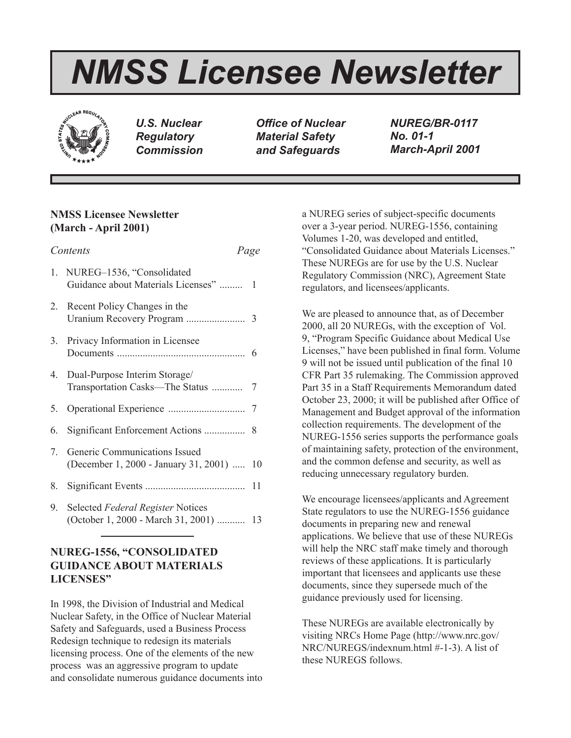# *NMSS Licensee Newsletter*



*U.S. Nuclear Regulatory Commission*

*Office of Nuclear Material Safety and Safeguards*

*NUREG/BR-0117 No. 01-1 March-April 2001*

# **NMSS Licensee Newsletter (March - April 2001)**

| Contents<br>Page |                                                                             |    |
|------------------|-----------------------------------------------------------------------------|----|
|                  | 1. NUREG-1536, "Consolidated<br>Guidance about Materials Licenses"          | 1  |
|                  | 2. Recent Policy Changes in the                                             |    |
|                  | 3. Privacy Information in Licensee                                          |    |
|                  | 4. Dual-Purpose Interim Storage/                                            |    |
|                  |                                                                             |    |
| 6.               |                                                                             |    |
| 7.               | Generic Communications Issued<br>(December 1, 2000 - January 31, 2001)      | 10 |
| 8.               |                                                                             |    |
| 9.               | Selected Federal Register Notices<br>(October 1, 2000 - March 31, 2001)  13 |    |

# **NUREG-1556, "CONSOLIDATED GUIDANCE ABOUT MATERIALS LICENSES"**

In 1998, the Division of Industrial and Medical Nuclear Safety, in the Office of Nuclear Material Safety and Safeguards, used a Business Process Redesign technique to redesign its materials licensing process. One of the elements of the new process was an aggressive program to update and consolidate numerous guidance documents into a NUREG series of subject-specific documents over a 3-year period. NUREG-1556, containing Volumes 1-20, was developed and entitled, "Consolidated Guidance about Materials Licenses." These NUREGs are for use by the U.S. Nuclear Regulatory Commission (NRC), Agreement State regulators, and licensees/applicants.

We are pleased to announce that, as of December 2000, all 20 NUREGs, with the exception of Vol. 9, "Program Specific Guidance about Medical Use Licenses," have been published in final form. Volume 9 will not be issued until publication of the final 10 CFR Part 35 rulemaking. The Commission approved Part 35 in a Staff Requirements Memorandum dated October 23, 2000; it will be published after Office of Management and Budget approval of the information collection requirements. The development of the NUREG-1556 series supports the performance goals of maintaining safety, protection of the environment, and the common defense and security, as well as reducing unnecessary regulatory burden.

We encourage licensees/applicants and Agreement State regulators to use the NUREG-1556 guidance documents in preparing new and renewal applications. We believe that use of these NUREGs will help the NRC staff make timely and thorough reviews of these applications. It is particularly important that licensees and applicants use these documents, since they supersede much of the guidance previously used for licensing.

These NUREGs are available electronically by visiting NRCs Home Page (http://www.nrc.gov/ NRC/NUREGS/indexnum.html #-1-3). A list of these NUREGS follows.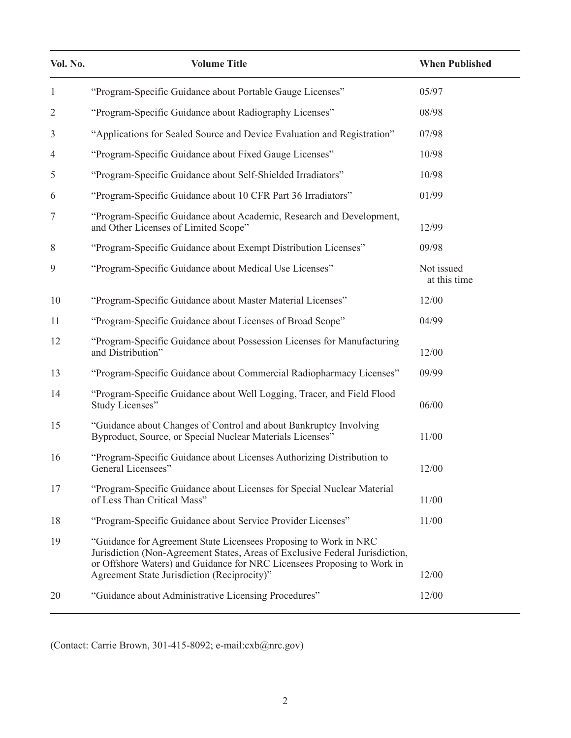| Vol. No.       | <b>Volume Title</b>                                                                                                                                                                                                                                                        | <b>When Published</b>      |
|----------------|----------------------------------------------------------------------------------------------------------------------------------------------------------------------------------------------------------------------------------------------------------------------------|----------------------------|
| $\mathbf{1}$   | "Program-Specific Guidance about Portable Gauge Licenses"                                                                                                                                                                                                                  | 05/97                      |
| $\overline{2}$ | "Program-Specific Guidance about Radiography Licenses"                                                                                                                                                                                                                     | 08/98                      |
| 3              | "Applications for Sealed Source and Device Evaluation and Registration"                                                                                                                                                                                                    | 07/98                      |
| 4              | "Program-Specific Guidance about Fixed Gauge Licenses"                                                                                                                                                                                                                     | 10/98                      |
| 5              | "Program-Specific Guidance about Self-Shielded Irradiators"                                                                                                                                                                                                                | 10/98                      |
| 6              | "Program-Specific Guidance about 10 CFR Part 36 Irradiators"                                                                                                                                                                                                               | 01/99                      |
| 7              | "Program-Specific Guidance about Academic, Research and Development,<br>and Other Licenses of Limited Scope"                                                                                                                                                               | 12/99                      |
| 8              | "Program-Specific Guidance about Exempt Distribution Licenses"                                                                                                                                                                                                             | 09/98                      |
| 9              | "Program-Specific Guidance about Medical Use Licenses"                                                                                                                                                                                                                     | Not issued<br>at this time |
| 10             | "Program-Specific Guidance about Master Material Licenses"                                                                                                                                                                                                                 | 12/00                      |
| 11             | "Program-Specific Guidance about Licenses of Broad Scope"                                                                                                                                                                                                                  | 04/99                      |
| 12             | "Program-Specific Guidance about Possession Licenses for Manufacturing<br>and Distribution"                                                                                                                                                                                | 12/00                      |
| 13             | "Program-Specific Guidance about Commercial Radiopharmacy Licenses"                                                                                                                                                                                                        | 09/99                      |
| 14             | "Program-Specific Guidance about Well Logging, Tracer, and Field Flood<br>Study Licenses"                                                                                                                                                                                  | 06/00                      |
| 15             | "Guidance about Changes of Control and about Bankruptcy Involving<br>Byproduct, Source, or Special Nuclear Materials Licenses"                                                                                                                                             | 11/00                      |
| 16             | "Program-Specific Guidance about Licenses Authorizing Distribution to<br>General Licensees"                                                                                                                                                                                | 12/00                      |
| 17             | "Program-Specific Guidance about Licenses for Special Nuclear Material<br>of Less Than Critical Mass"                                                                                                                                                                      | 11/00                      |
| 18             | "Program-Specific Guidance about Service Provider Licenses"                                                                                                                                                                                                                | 11/00                      |
| 19             | "Guidance for Agreement State Licensees Proposing to Work in NRC<br>Jurisdiction (Non-Agreement States, Areas of Exclusive Federal Jurisdiction,<br>or Offshore Waters) and Guidance for NRC Licensees Proposing to Work in<br>Agreement State Jurisdiction (Reciprocity)" | 12/00                      |
| 20             | "Guidance about Administrative Licensing Procedures"                                                                                                                                                                                                                       | 12/00                      |
|                |                                                                                                                                                                                                                                                                            |                            |

(Contact: Carrie Brown, 301-415-8092; e-mail:cxb@nrc.gov)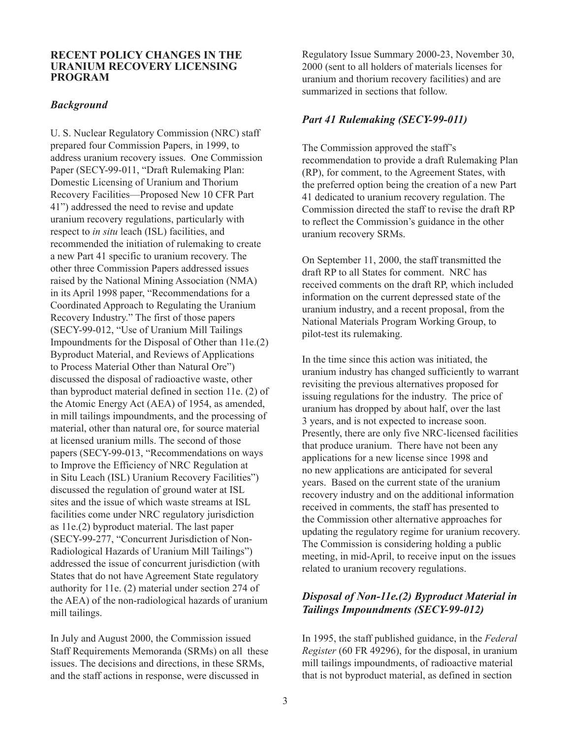#### **RECENT POLICY CHANGES IN THE URANIUM RECOVERY LICENSING PROGRAM**

## *Background*

U. S. Nuclear Regulatory Commission (NRC) staff prepared four Commission Papers, in 1999, to address uranium recovery issues. One Commission Paper (SECY-99-011, "Draft Rulemaking Plan: Domestic Licensing of Uranium and Thorium Recovery Facilities—Proposed New 10 CFR Part 41") addressed the need to revise and update uranium recovery regulations, particularly with respect to *in situ* leach (ISL) facilities, and recommended the initiation of rulemaking to create a new Part 41 specific to uranium recovery. The other three Commission Papers addressed issues raised by the National Mining Association (NMA) in its April 1998 paper, "Recommendations for a Coordinated Approach to Regulating the Uranium Recovery Industry." The first of those papers (SECY-99-012, "Use of Uranium Mill Tailings Impoundments for the Disposal of Other than 11e.(2) Byproduct Material, and Reviews of Applications to Process Material Other than Natural Ore") discussed the disposal of radioactive waste, other than byproduct material defined in section 11e. (2) of the Atomic Energy Act (AEA) of 1954, as amended, in mill tailings impoundments, and the processing of material, other than natural ore, for source material at licensed uranium mills. The second of those papers (SECY-99-013, "Recommendations on ways to Improve the Efficiency of NRC Regulation at in Situ Leach (ISL) Uranium Recovery Facilities") discussed the regulation of ground water at ISL sites and the issue of which waste streams at ISL facilities come under NRC regulatory jurisdiction as 11e.(2) byproduct material. The last paper (SECY-99-277, "Concurrent Jurisdiction of Non-Radiological Hazards of Uranium Mill Tailings") addressed the issue of concurrent jurisdiction (with States that do not have Agreement State regulatory authority for 11e. (2) material under section 274 of the AEA) of the non-radiological hazards of uranium mill tailings.

In July and August 2000, the Commission issued Staff Requirements Memoranda (SRMs) on all these issues. The decisions and directions, in these SRMs, and the staff actions in response, were discussed in

Regulatory Issue Summary 2000-23, November 30, 2000 (sent to all holders of materials licenses for uranium and thorium recovery facilities) and are summarized in sections that follow.

# *Part 41 Rulemaking (SECY-99-011)*

The Commission approved the staff's recommendation to provide a draft Rulemaking Plan (RP), for comment, to the Agreement States, with the preferred option being the creation of a new Part 41 dedicated to uranium recovery regulation. The Commission directed the staff to revise the draft RP to reflect the Commission's guidance in the other uranium recovery SRMs.

On September 11, 2000, the staff transmitted the draft RP to all States for comment. NRC has received comments on the draft RP, which included information on the current depressed state of the uranium industry, and a recent proposal, from the National Materials Program Working Group, to pilot-test its rulemaking.

In the time since this action was initiated, the uranium industry has changed sufficiently to warrant revisiting the previous alternatives proposed for issuing regulations for the industry. The price of uranium has dropped by about half, over the last 3 years, and is not expected to increase soon. Presently, there are only five NRC-licensed facilities that produce uranium. There have not been any applications for a new license since 1998 and no new applications are anticipated for several years. Based on the current state of the uranium recovery industry and on the additional information received in comments, the staff has presented to the Commission other alternative approaches for updating the regulatory regime for uranium recovery. The Commission is considering holding a public meeting, in mid-April, to receive input on the issues related to uranium recovery regulations.

# *Disposal of Non-11e.(2) Byproduct Material in Tailings Impoundments (SECY-99-012)*

In 1995, the staff published guidance, in the *Federal Register* (60 FR 49296), for the disposal, in uranium mill tailings impoundments, of radioactive material that is not byproduct material, as defined in section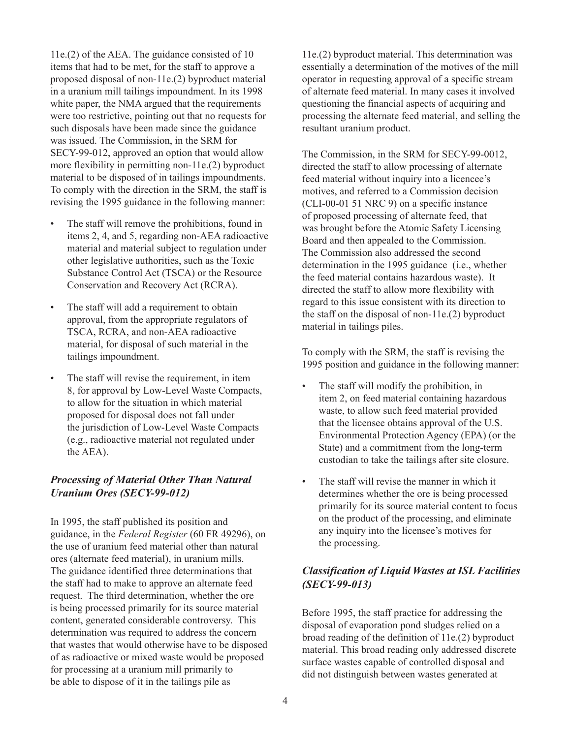11e.(2) of the AEA. The guidance consisted of 10 items that had to be met, for the staff to approve a proposed disposal of non-11e.(2) byproduct material in a uranium mill tailings impoundment. In its 1998 white paper, the NMA argued that the requirements were too restrictive, pointing out that no requests for such disposals have been made since the guidance was issued. The Commission, in the SRM for SECY-99-012, approved an option that would allow more flexibility in permitting non-11e.(2) byproduct material to be disposed of in tailings impoundments. To comply with the direction in the SRM, the staff is revising the 1995 guidance in the following manner:

- The staff will remove the prohibitions, found in items 2, 4, and 5, regarding non-AEA radioactive material and material subject to regulation under other legislative authorities, such as the Toxic Substance Control Act (TSCA) or the Resource Conservation and Recovery Act (RCRA).
- The staff will add a requirement to obtain approval, from the appropriate regulators of TSCA, RCRA, and non-AEA radioactive material, for disposal of such material in the tailings impoundment.
- The staff will revise the requirement, in item 8, for approval by Low-Level Waste Compacts, to allow for the situation in which material proposed for disposal does not fall under the jurisdiction of Low-Level Waste Compacts (e.g., radioactive material not regulated under the AEA).

# *Processing of Material Other Than Natural Uranium Ores (SECY-99-012)*

In 1995, the staff published its position and guidance, in the *Federal Register* (60 FR 49296), on the use of uranium feed material other than natural ores (alternate feed material), in uranium mills. The guidance identified three determinations that the staff had to make to approve an alternate feed request. The third determination, whether the ore is being processed primarily for its source material content, generated considerable controversy. This determination was required to address the concern that wastes that would otherwise have to be disposed of as radioactive or mixed waste would be proposed for processing at a uranium mill primarily to be able to dispose of it in the tailings pile as

11e.(2) byproduct material. This determination was essentially a determination of the motives of the mill operator in requesting approval of a specific stream of alternate feed material. In many cases it involved questioning the financial aspects of acquiring and processing the alternate feed material, and selling the resultant uranium product.

The Commission, in the SRM for SECY-99-0012, directed the staff to allow processing of alternate feed material without inquiry into a licencee's motives, and referred to a Commission decision (CLI-00-01 51 NRC 9) on a specific instance of proposed processing of alternate feed, that was brought before the Atomic Safety Licensing Board and then appealed to the Commission. The Commission also addressed the second determination in the 1995 guidance (i.e., whether the feed material contains hazardous waste). It directed the staff to allow more flexibility with regard to this issue consistent with its direction to the staff on the disposal of non-11e.(2) byproduct material in tailings piles.

To comply with the SRM, the staff is revising the 1995 position and guidance in the following manner:

- The staff will modify the prohibition, in item 2, on feed material containing hazardous waste, to allow such feed material provided that the licensee obtains approval of the U.S. Environmental Protection Agency (EPA) (or the State) and a commitment from the long-term custodian to take the tailings after site closure.
- The staff will revise the manner in which it determines whether the ore is being processed primarily for its source material content to focus on the product of the processing, and eliminate any inquiry into the licensee's motives for the processing.

# *Classification of Liquid Wastes at ISL Facilities (SECY-99-013)*

Before 1995, the staff practice for addressing the disposal of evaporation pond sludges relied on a broad reading of the definition of 11e.(2) byproduct material. This broad reading only addressed discrete surface wastes capable of controlled disposal and did not distinguish between wastes generated at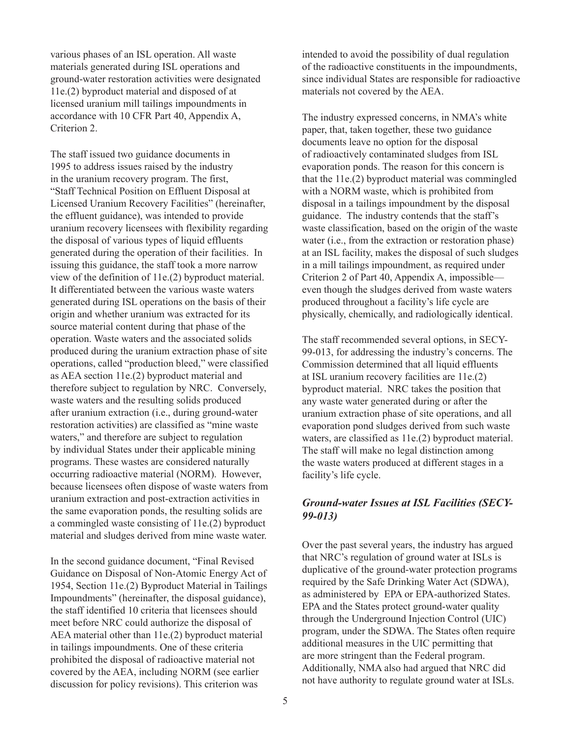various phases of an ISL operation. All waste materials generated during ISL operations and ground-water restoration activities were designated 11e.(2) byproduct material and disposed of at licensed uranium mill tailings impoundments in accordance with 10 CFR Part 40, Appendix A, Criterion 2.

The staff issued two guidance documents in 1995 to address issues raised by the industry in the uranium recovery program. The first, "Staff Technical Position on Effluent Disposal at Licensed Uranium Recovery Facilities" (hereinafter, the effluent guidance), was intended to provide uranium recovery licensees with flexibility regarding the disposal of various types of liquid effluents generated during the operation of their facilities. In issuing this guidance, the staff took a more narrow view of the definition of 11e.(2) byproduct material. It differentiated between the various waste waters generated during ISL operations on the basis of their origin and whether uranium was extracted for its source material content during that phase of the operation. Waste waters and the associated solids produced during the uranium extraction phase of site operations, called "production bleed," were classified as AEA section 11e.(2) byproduct material and therefore subject to regulation by NRC. Conversely, waste waters and the resulting solids produced after uranium extraction (i.e., during ground-water restoration activities) are classified as "mine waste waters," and therefore are subject to regulation by individual States under their applicable mining programs. These wastes are considered naturally occurring radioactive material (NORM). However, because licensees often dispose of waste waters from uranium extraction and post-extraction activities in the same evaporation ponds, the resulting solids are a commingled waste consisting of 11e.(2) byproduct material and sludges derived from mine waste water.

In the second guidance document, "Final Revised Guidance on Disposal of Non-Atomic Energy Act of 1954, Section 11e.(2) Byproduct Material in Tailings Impoundments" (hereinafter, the disposal guidance), the staff identified 10 criteria that licensees should meet before NRC could authorize the disposal of AEA material other than 11e.(2) byproduct material in tailings impoundments. One of these criteria prohibited the disposal of radioactive material not covered by the AEA, including NORM (see earlier discussion for policy revisions). This criterion was

intended to avoid the possibility of dual regulation of the radioactive constituents in the impoundments, since individual States are responsible for radioactive materials not covered by the AEA.

The industry expressed concerns, in NMA's white paper, that, taken together, these two guidance documents leave no option for the disposal of radioactively contaminated sludges from ISL evaporation ponds. The reason for this concern is that the 11e.(2) byproduct material was commingled with a NORM waste, which is prohibited from disposal in a tailings impoundment by the disposal guidance. The industry contends that the staff's waste classification, based on the origin of the waste water (i.e., from the extraction or restoration phase) at an ISL facility, makes the disposal of such sludges in a mill tailings impoundment, as required under Criterion 2 of Part 40, Appendix A, impossible even though the sludges derived from waste waters produced throughout a facility's life cycle are physically, chemically, and radiologically identical.

The staff recommended several options, in SECY-99-013, for addressing the industry's concerns. The Commission determined that all liquid effluents at ISL uranium recovery facilities are 11e.(2) byproduct material. NRC takes the position that any waste water generated during or after the uranium extraction phase of site operations, and all evaporation pond sludges derived from such waste waters, are classified as 11e.(2) byproduct material. The staff will make no legal distinction among the waste waters produced at different stages in a facility's life cycle.

# *Ground-water Issues at ISL Facilities (SECY-99-013)*

Over the past several years, the industry has argued that NRC's regulation of ground water at ISLs is duplicative of the ground-water protection programs required by the Safe Drinking Water Act (SDWA), as administered by EPA or EPA-authorized States. EPA and the States protect ground-water quality through the Underground Injection Control (UIC) program, under the SDWA. The States often require additional measures in the UIC permitting that are more stringent than the Federal program. Additionally, NMA also had argued that NRC did not have authority to regulate ground water at ISLs.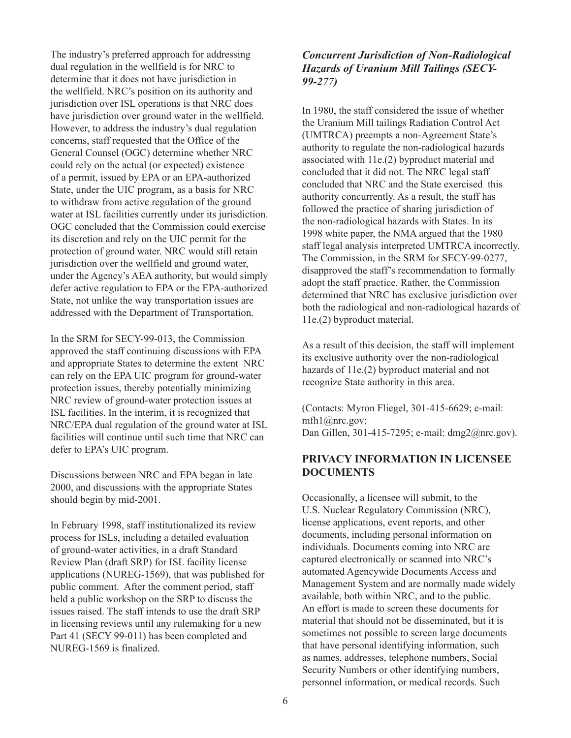The industry's preferred approach for addressing dual regulation in the wellfield is for NRC to determine that it does not have jurisdiction in the wellfield. NRC's position on its authority and jurisdiction over ISL operations is that NRC does have jurisdiction over ground water in the wellfield. However, to address the industry's dual regulation concerns, staff requested that the Office of the General Counsel (OGC) determine whether NRC could rely on the actual (or expected) existence of a permit, issued by EPA or an EPA-authorized State, under the UIC program, as a basis for NRC to withdraw from active regulation of the ground water at ISL facilities currently under its jurisdiction. OGC concluded that the Commission could exercise its discretion and rely on the UIC permit for the protection of ground water. NRC would still retain jurisdiction over the wellfield and ground water, under the Agency's AEA authority, but would simply defer active regulation to EPA or the EPA-authorized State, not unlike the way transportation issues are addressed with the Department of Transportation.

In the SRM for SECY-99-013, the Commission approved the staff continuing discussions with EPA and appropriate States to determine the extent NRC can rely on the EPA UIC program for ground-water protection issues, thereby potentially minimizing NRC review of ground-water protection issues at ISL facilities. In the interim, it is recognized that NRC/EPA dual regulation of the ground water at ISL facilities will continue until such time that NRC can defer to EPA's UIC program.

Discussions between NRC and EPA began in late 2000, and discussions with the appropriate States should begin by mid-2001.

In February 1998, staff institutionalized its review process for ISLs, including a detailed evaluation of ground-water activities, in a draft Standard Review Plan (draft SRP) for ISL facility license applications (NUREG-1569), that was published for public comment. After the comment period, staff held a public workshop on the SRP to discuss the issues raised. The staff intends to use the draft SRP in licensing reviews until any rulemaking for a new Part 41 (SECY 99-011) has been completed and NUREG-1569 is finalized.

# *Concurrent Jurisdiction of Non-Radiological Hazards of Uranium Mill Tailings (SECY-99-277)*

In 1980, the staff considered the issue of whether the Uranium Mill tailings Radiation Control Act (UMTRCA) preempts a non-Agreement State's authority to regulate the non-radiological hazards associated with 11e.(2) byproduct material and concluded that it did not. The NRC legal staff concluded that NRC and the State exercised this authority concurrently. As a result, the staff has followed the practice of sharing jurisdiction of the non-radiological hazards with States. In its 1998 white paper, the NMA argued that the 1980 staff legal analysis interpreted UMTRCA incorrectly. The Commission, in the SRM for SECY-99-0277, disapproved the staff's recommendation to formally adopt the staff practice. Rather, the Commission determined that NRC has exclusive jurisdiction over both the radiological and non-radiological hazards of 11e.(2) byproduct material.

As a result of this decision, the staff will implement its exclusive authority over the non-radiological hazards of 11e.(2) byproduct material and not recognize State authority in this area.

(Contacts: Myron Fliegel, 301-415-6629; e-mail: mfh1@nrc.gov; Dan Gillen, 301-415-7295; e-mail: dmg2@nrc.gov).

# **PRIVACY INFORMATION IN LICENSEE DOCUMENTS**

Occasionally, a licensee will submit, to the U.S. Nuclear Regulatory Commission (NRC), license applications, event reports, and other documents, including personal information on individuals. Documents coming into NRC are captured electronically or scanned into NRC's automated Agencywide Documents Access and Management System and are normally made widely available, both within NRC, and to the public. An effort is made to screen these documents for material that should not be disseminated, but it is sometimes not possible to screen large documents that have personal identifying information, such as names, addresses, telephone numbers, Social Security Numbers or other identifying numbers, personnel information, or medical records. Such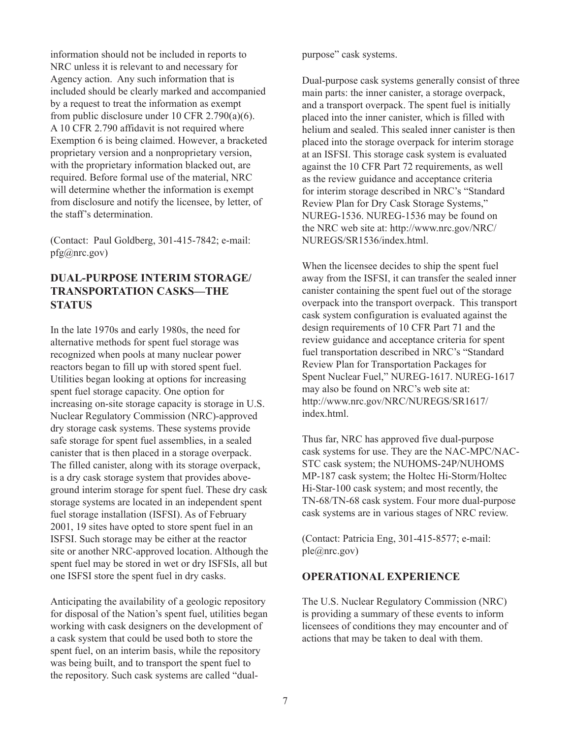information should not be included in reports to NRC unless it is relevant to and necessary for Agency action. Any such information that is included should be clearly marked and accompanied by a request to treat the information as exempt from public disclosure under 10 CFR 2.790(a)(6). A 10 CFR 2.790 affidavit is not required where Exemption 6 is being claimed. However, a bracketed proprietary version and a nonproprietary version, with the proprietary information blacked out, are required. Before formal use of the material, NRC will determine whether the information is exempt from disclosure and notify the licensee, by letter, of the staff's determination.

(Contact: Paul Goldberg, 301-415-7842; e-mail: pfg@nrc.gov)

# **DUAL-PURPOSE INTERIM STORAGE/ TRANSPORTATION CASKS—THE STATUS**

In the late 1970s and early 1980s, the need for alternative methods for spent fuel storage was recognized when pools at many nuclear power reactors began to fill up with stored spent fuel. Utilities began looking at options for increasing spent fuel storage capacity. One option for increasing on-site storage capacity is storage in U.S. Nuclear Regulatory Commission (NRC)-approved dry storage cask systems. These systems provide safe storage for spent fuel assemblies, in a sealed canister that is then placed in a storage overpack. The filled canister, along with its storage overpack, is a dry cask storage system that provides aboveground interim storage for spent fuel. These dry cask storage systems are located in an independent spent fuel storage installation (ISFSI). As of February 2001, 19 sites have opted to store spent fuel in an ISFSI. Such storage may be either at the reactor site or another NRC-approved location. Although the spent fuel may be stored in wet or dry ISFSIs, all but one ISFSI store the spent fuel in dry casks.

Anticipating the availability of a geologic repository for disposal of the Nation's spent fuel, utilities began working with cask designers on the development of a cask system that could be used both to store the spent fuel, on an interim basis, while the repository was being built, and to transport the spent fuel to the repository. Such cask systems are called "dualpurpose" cask systems.

Dual-purpose cask systems generally consist of three main parts: the inner canister, a storage overpack, and a transport overpack. The spent fuel is initially placed into the inner canister, which is filled with helium and sealed. This sealed inner canister is then placed into the storage overpack for interim storage at an ISFSI. This storage cask system is evaluated against the 10 CFR Part 72 requirements, as well as the review guidance and acceptance criteria for interim storage described in NRC's "Standard Review Plan for Dry Cask Storage Systems," NUREG-1536. NUREG-1536 may be found on the NRC web site at: http://www.nrc.gov/NRC/ NUREGS/SR1536/index.html.

When the licensee decides to ship the spent fuel away from the ISFSI, it can transfer the sealed inner canister containing the spent fuel out of the storage overpack into the transport overpack. This transport cask system configuration is evaluated against the design requirements of 10 CFR Part 71 and the review guidance and acceptance criteria for spent fuel transportation described in NRC's "Standard Review Plan for Transportation Packages for Spent Nuclear Fuel," NUREG-1617. NUREG-1617 may also be found on NRC's web site at: http://www.nrc.gov/NRC/NUREGS/SR1617/ index.html.

Thus far, NRC has approved five dual-purpose cask systems for use. They are the NAC-MPC/NAC-STC cask system; the NUHOMS-24P/NUHOMS MP-187 cask system; the Holtec Hi-Storm/Holtec Hi-Star-100 cask system; and most recently, the TN-68/TN-68 cask system. Four more dual-purpose cask systems are in various stages of NRC review.

(Contact: Patricia Eng, 301-415-8577; e-mail: ple@nrc.gov)

## **OPERATIONAL EXPERIENCE**

The U.S. Nuclear Regulatory Commission (NRC) is providing a summary of these events to inform licensees of conditions they may encounter and of actions that may be taken to deal with them.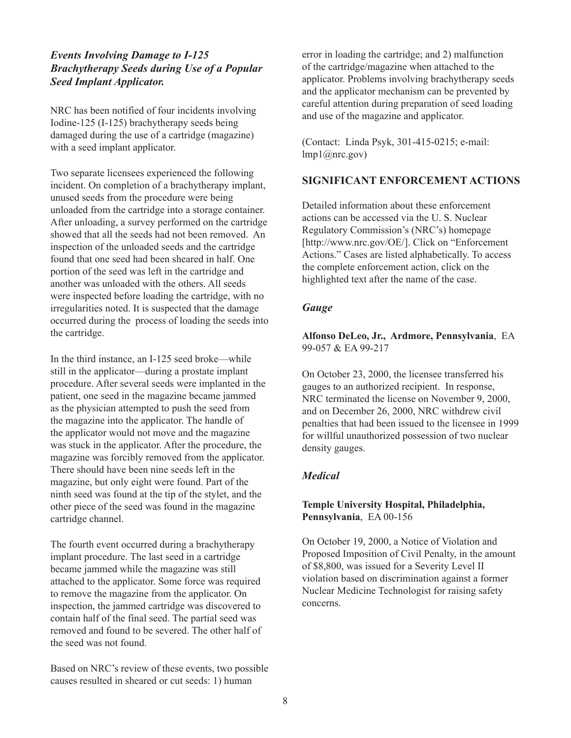# *Events Involving Damage to I-125 Brachytherapy Seeds during Use of a Popular Seed Implant Applicator.*

NRC has been notified of four incidents involving Iodine-125 (I-125) brachytherapy seeds being damaged during the use of a cartridge (magazine) with a seed implant applicator.

Two separate licensees experienced the following incident. On completion of a brachytherapy implant, unused seeds from the procedure were being unloaded from the cartridge into a storage container. After unloading, a survey performed on the cartridge showed that all the seeds had not been removed. An inspection of the unloaded seeds and the cartridge found that one seed had been sheared in half. One portion of the seed was left in the cartridge and another was unloaded with the others. All seeds were inspected before loading the cartridge, with no irregularities noted. It is suspected that the damage occurred during the process of loading the seeds into the cartridge.

In the third instance, an I-125 seed broke—while still in the applicator—during a prostate implant procedure. After several seeds were implanted in the patient, one seed in the magazine became jammed as the physician attempted to push the seed from the magazine into the applicator. The handle of the applicator would not move and the magazine was stuck in the applicator. After the procedure, the magazine was forcibly removed from the applicator. There should have been nine seeds left in the magazine, but only eight were found. Part of the ninth seed was found at the tip of the stylet, and the other piece of the seed was found in the magazine cartridge channel.

The fourth event occurred during a brachytherapy implant procedure. The last seed in a cartridge became jammed while the magazine was still attached to the applicator. Some force was required to remove the magazine from the applicator. On inspection, the jammed cartridge was discovered to contain half of the final seed. The partial seed was removed and found to be severed. The other half of the seed was not found.

Based on NRC's review of these events, two possible causes resulted in sheared or cut seeds: 1) human

error in loading the cartridge; and 2) malfunction of the cartridge/magazine when attached to the applicator. Problems involving brachytherapy seeds and the applicator mechanism can be prevented by careful attention during preparation of seed loading and use of the magazine and applicator.

(Contact: Linda Psyk, 301-415-0215; e-mail:  $lmp1$  ( $@nrc.gov$ )

# **SIGNIFICANT ENFORCEMENT ACTIONS**

Detailed information about these enforcement actions can be accessed via the U. S. Nuclear Regulatory Commission's (NRC's) homepage [http://www.nrc.gov/OE/]. Click on "Enforcement Actions." Cases are listed alphabetically. To access the complete enforcement action, click on the highlighted text after the name of the case.

## *Gauge*

**Alfonso DeLeo, Jr., Ardmore, Pennsylvania**, EA 99-057 & EA 99-217

On October 23, 2000, the licensee transferred his gauges to an authorized recipient. In response, NRC terminated the license on November 9, 2000, and on December 26, 2000, NRC withdrew civil penalties that had been issued to the licensee in 1999 for willful unauthorized possession of two nuclear density gauges.

## *Medical*

#### **Temple University Hospital, Philadelphia, Pennsylvania**, EA 00-156

On October 19, 2000, a Notice of Violation and Proposed Imposition of Civil Penalty, in the amount of \$8,800, was issued for a Severity Level II violation based on discrimination against a former Nuclear Medicine Technologist for raising safety concerns.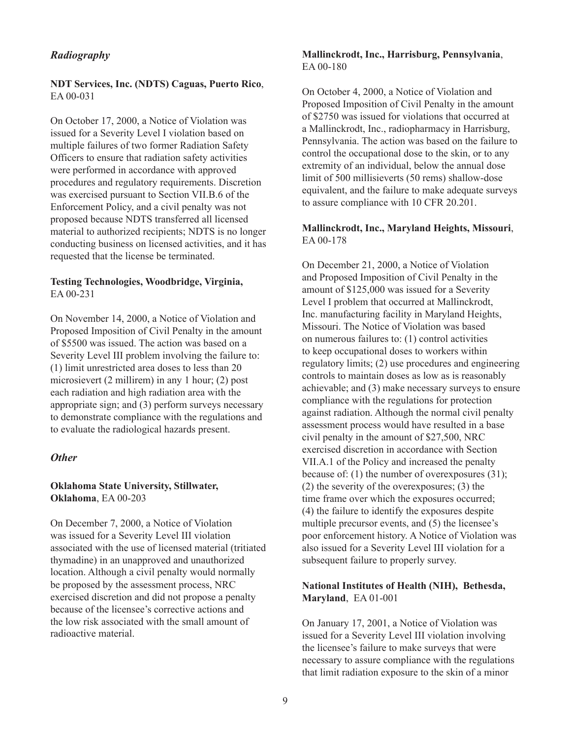#### *Radiography*

**NDT Services, Inc. (NDTS) Caguas, Puerto Rico**, EA 00-031

On October 17, 2000, a Notice of Violation was issued for a Severity Level I violation based on multiple failures of two former Radiation Safety Officers to ensure that radiation safety activities were performed in accordance with approved procedures and regulatory requirements. Discretion was exercised pursuant to Section VII.B.6 of the Enforcement Policy, and a civil penalty was not proposed because NDTS transferred all licensed material to authorized recipients; NDTS is no longer conducting business on licensed activities, and it has requested that the license be terminated.

#### **Testing Technologies, Woodbridge, Virginia,** EA 00-231

On November 14, 2000, a Notice of Violation and Proposed Imposition of Civil Penalty in the amount of \$5500 was issued. The action was based on a Severity Level III problem involving the failure to: (1) limit unrestricted area doses to less than 20 microsievert (2 millirem) in any 1 hour; (2) post each radiation and high radiation area with the appropriate sign; and (3) perform surveys necessary to demonstrate compliance with the regulations and to evaluate the radiological hazards present.

## *Other*

#### **Oklahoma State University, Stillwater, Oklahoma**, EA 00-203

On December 7, 2000, a Notice of Violation was issued for a Severity Level III violation associated with the use of licensed material (tritiated thymadine) in an unapproved and unauthorized location. Although a civil penalty would normally be proposed by the assessment process, NRC exercised discretion and did not propose a penalty because of the licensee's corrective actions and the low risk associated with the small amount of radioactive material.

#### **Mallinckrodt, Inc., Harrisburg, Pennsylvania**, EA 00-180

On October 4, 2000, a Notice of Violation and Proposed Imposition of Civil Penalty in the amount of \$2750 was issued for violations that occurred at a Mallinckrodt, Inc., radiopharmacy in Harrisburg, Pennsylvania. The action was based on the failure to control the occupational dose to the skin, or to any extremity of an individual, below the annual dose limit of 500 millisieverts (50 rems) shallow-dose equivalent, and the failure to make adequate surveys to assure compliance with 10 CFR 20.201.

#### **Mallinckrodt, Inc., Maryland Heights, Missouri**, EA 00-178

On December 21, 2000, a Notice of Violation and Proposed Imposition of Civil Penalty in the amount of \$125,000 was issued for a Severity Level I problem that occurred at Mallinckrodt, Inc. manufacturing facility in Maryland Heights, Missouri. The Notice of Violation was based on numerous failures to: (1) control activities to keep occupational doses to workers within regulatory limits; (2) use procedures and engineering controls to maintain doses as low as is reasonably achievable; and (3) make necessary surveys to ensure compliance with the regulations for protection against radiation. Although the normal civil penalty assessment process would have resulted in a base civil penalty in the amount of \$27,500, NRC exercised discretion in accordance with Section VII.A.1 of the Policy and increased the penalty because of: (1) the number of overexposures (31); (2) the severity of the overexposures; (3) the time frame over which the exposures occurred; (4) the failure to identify the exposures despite multiple precursor events, and (5) the licensee's poor enforcement history. A Notice of Violation was also issued for a Severity Level III violation for a subsequent failure to properly survey.

#### **National Institutes of Health (NIH), Bethesda, Maryland**, EA 01-001

On January 17, 2001, a Notice of Violation was issued for a Severity Level III violation involving the licensee's failure to make surveys that were necessary to assure compliance with the regulations that limit radiation exposure to the skin of a minor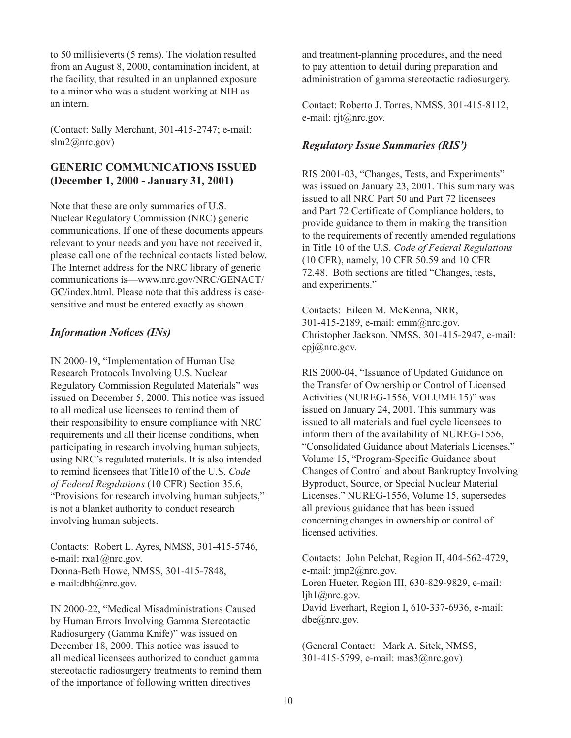to 50 millisieverts (5 rems). The violation resulted from an August 8, 2000, contamination incident, at the facility, that resulted in an unplanned exposure to a minor who was a student working at NIH as an intern.

(Contact: Sally Merchant, 301-415-2747; e-mail: slm2@nrc.gov)

# **GENERIC COMMUNICATIONS ISSUED (December 1, 2000 - January 31, 2001)**

Note that these are only summaries of U.S. Nuclear Regulatory Commission (NRC) generic communications. If one of these documents appears relevant to your needs and you have not received it, please call one of the technical contacts listed below. The Internet address for the NRC library of generic communications is—www.nrc.gov/NRC/GENACT/ GC/index.html. Please note that this address is casesensitive and must be entered exactly as shown.

# *Information Notices (INs)*

IN 2000-19, "Implementation of Human Use Research Protocols Involving U.S. Nuclear Regulatory Commission Regulated Materials" was issued on December 5, 2000. This notice was issued to all medical use licensees to remind them of their responsibility to ensure compliance with NRC requirements and all their license conditions, when participating in research involving human subjects, using NRC's regulated materials. It is also intended to remind licensees that Title10 of the U.S. *Code of Federal Regulations* (10 CFR) Section 35.6, "Provisions for research involving human subjects," is not a blanket authority to conduct research involving human subjects.

Contacts: Robert L. Ayres, NMSS, 301-415-5746, e-mail: rxa1@nrc.gov. Donna-Beth Howe, NMSS, 301-415-7848, e-mail:dbh@nrc.gov.

IN 2000-22, "Medical Misadministrations Caused by Human Errors Involving Gamma Stereotactic Radiosurgery (Gamma Knife)" was issued on December 18, 2000. This notice was issued to all medical licensees authorized to conduct gamma stereotactic radiosurgery treatments to remind them of the importance of following written directives

and treatment-planning procedures, and the need to pay attention to detail during preparation and administration of gamma stereotactic radiosurgery.

Contact: Roberto J. Torres, NMSS, 301-415-8112, e-mail: rjt@nrc.gov.

# *Regulatory Issue Summaries (RIS')*

RIS 2001-03, "Changes, Tests, and Experiments" was issued on January 23, 2001. This summary was issued to all NRC Part 50 and Part 72 licensees and Part 72 Certificate of Compliance holders, to provide guidance to them in making the transition to the requirements of recently amended regulations in Title 10 of the U.S. *Code of Federal Regulations* (10 CFR), namely, 10 CFR 50.59 and 10 CFR 72.48. Both sections are titled "Changes, tests, and experiments."

Contacts: Eileen M. McKenna, NRR, 301-415-2189, e-mail: emm@nrc.gov. Christopher Jackson, NMSS, 301-415-2947, e-mail: cpj@nrc.gov.

RIS 2000-04, "Issuance of Updated Guidance on the Transfer of Ownership or Control of Licensed Activities (NUREG-1556, VOLUME 15)" was issued on January 24, 2001. This summary was issued to all materials and fuel cycle licensees to inform them of the availability of NUREG-1556, "Consolidated Guidance about Materials Licenses," Volume 15, "Program-Specific Guidance about Changes of Control and about Bankruptcy Involving Byproduct, Source, or Special Nuclear Material Licenses." NUREG-1556, Volume 15, supersedes all previous guidance that has been issued concerning changes in ownership or control of licensed activities.

Contacts: John Pelchat, Region II, 404-562-4729, e-mail: jmp2@nrc.gov. Loren Hueter, Region III, 630-829-9829, e-mail: ljh1@nrc.gov. David Everhart, Region I, 610-337-6936, e-mail: dbe@nrc.gov.

(General Contact: Mark A. Sitek, NMSS, 301-415-5799, e-mail: mas3@nrc.gov)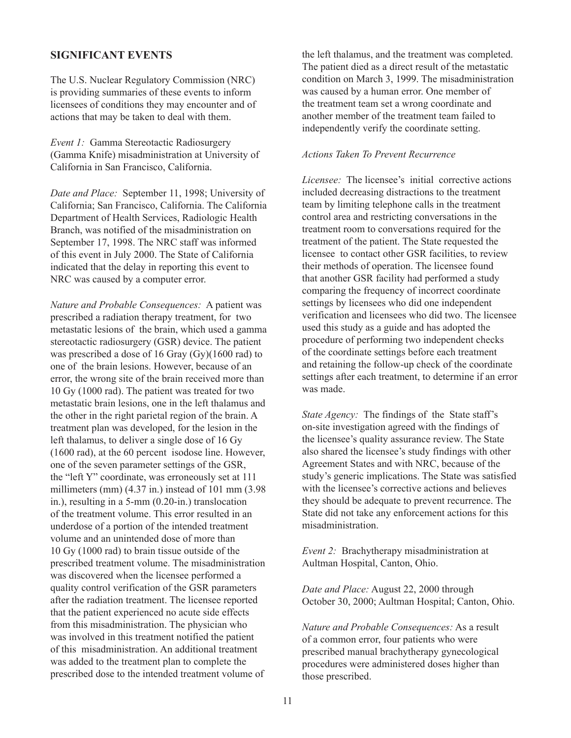#### **SIGNIFICANT EVENTS**

The U.S. Nuclear Regulatory Commission (NRC) is providing summaries of these events to inform licensees of conditions they may encounter and of actions that may be taken to deal with them.

*Event 1:* Gamma Stereotactic Radiosurgery (Gamma Knife) misadministration at University of California in San Francisco, California.

*Date and Place:* September 11, 1998; University of California; San Francisco, California. The California Department of Health Services, Radiologic Health Branch, was notified of the misadministration on September 17, 1998. The NRC staff was informed of this event in July 2000. The State of California indicated that the delay in reporting this event to NRC was caused by a computer error.

*Nature and Probable Consequences:* A patient was prescribed a radiation therapy treatment, for two metastatic lesions of the brain, which used a gamma stereotactic radiosurgery (GSR) device. The patient was prescribed a dose of 16 Gray (Gy)(1600 rad) to one of the brain lesions. However, because of an error, the wrong site of the brain received more than 10 Gy (1000 rad). The patient was treated for two metastatic brain lesions, one in the left thalamus and the other in the right parietal region of the brain. A treatment plan was developed, for the lesion in the left thalamus, to deliver a single dose of 16 Gy (1600 rad), at the 60 percent isodose line. However, one of the seven parameter settings of the GSR, the "left Y" coordinate, was erroneously set at 111 millimeters (mm) (4.37 in.) instead of 101 mm (3.98 in.), resulting in a 5-mm (0.20-in.) translocation of the treatment volume. This error resulted in an underdose of a portion of the intended treatment volume and an unintended dose of more than 10 Gy (1000 rad) to brain tissue outside of the prescribed treatment volume. The misadministration was discovered when the licensee performed a quality control verification of the GSR parameters after the radiation treatment. The licensee reported that the patient experienced no acute side effects from this misadministration. The physician who was involved in this treatment notified the patient of this misadministration. An additional treatment was added to the treatment plan to complete the prescribed dose to the intended treatment volume of

the left thalamus, and the treatment was completed. The patient died as a direct result of the metastatic condition on March 3, 1999. The misadministration was caused by a human error. One member of the treatment team set a wrong coordinate and another member of the treatment team failed to independently verify the coordinate setting.

#### *Actions Taken To Prevent Recurrence*

*Licensee:* The licensee's initial corrective actions included decreasing distractions to the treatment team by limiting telephone calls in the treatment control area and restricting conversations in the treatment room to conversations required for the treatment of the patient. The State requested the licensee to contact other GSR facilities, to review their methods of operation. The licensee found that another GSR facility had performed a study comparing the frequency of incorrect coordinate settings by licensees who did one independent verification and licensees who did two. The licensee used this study as a guide and has adopted the procedure of performing two independent checks of the coordinate settings before each treatment and retaining the follow-up check of the coordinate settings after each treatment, to determine if an error was made.

*State Agency:* The findings of the State staff's on-site investigation agreed with the findings of the licensee's quality assurance review. The State also shared the licensee's study findings with other Agreement States and with NRC, because of the study's generic implications. The State was satisfied with the licensee's corrective actions and believes they should be adequate to prevent recurrence. The State did not take any enforcement actions for this misadministration.

*Event 2:* Brachytherapy misadministration at Aultman Hospital, Canton, Ohio.

*Date and Place:* August 22, 2000 through October 30, 2000; Aultman Hospital; Canton, Ohio.

*Nature and Probable Consequences:* As a result of a common error, four patients who were prescribed manual brachytherapy gynecological procedures were administered doses higher than those prescribed.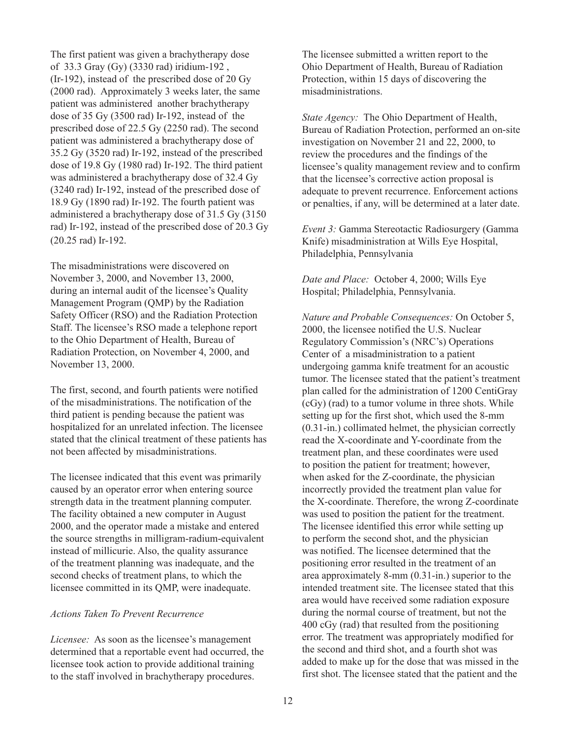The first patient was given a brachytherapy dose of 33.3 Gray (Gy) (3330 rad) iridium-192 , (Ir-192), instead of the prescribed dose of 20 Gy (2000 rad). Approximately 3 weeks later, the same patient was administered another brachytherapy dose of 35 Gy (3500 rad) Ir-192, instead of the prescribed dose of 22.5 Gy (2250 rad). The second patient was administered a brachytherapy dose of 35.2 Gy (3520 rad) Ir-192, instead of the prescribed dose of 19.8 Gy (1980 rad) Ir-192. The third patient was administered a brachytherapy dose of 32.4 Gy (3240 rad) Ir-192, instead of the prescribed dose of 18.9 Gy (1890 rad) Ir-192. The fourth patient was administered a brachytherapy dose of 31.5 Gy (3150 rad) Ir-192, instead of the prescribed dose of 20.3 Gy (20.25 rad) Ir-192.

The misadministrations were discovered on November 3, 2000, and November 13, 2000, during an internal audit of the licensee's Quality Management Program (QMP) by the Radiation Safety Officer (RSO) and the Radiation Protection Staff. The licensee's RSO made a telephone report to the Ohio Department of Health, Bureau of Radiation Protection, on November 4, 2000, and November 13, 2000.

The first, second, and fourth patients were notified of the misadministrations. The notification of the third patient is pending because the patient was hospitalized for an unrelated infection. The licensee stated that the clinical treatment of these patients has not been affected by misadministrations.

The licensee indicated that this event was primarily caused by an operator error when entering source strength data in the treatment planning computer. The facility obtained a new computer in August 2000, and the operator made a mistake and entered the source strengths in milligram-radium-equivalent instead of millicurie. Also, the quality assurance of the treatment planning was inadequate, and the second checks of treatment plans, to which the licensee committed in its QMP, were inadequate.

#### *Actions Taken To Prevent Recurrence*

*Licensee:* As soon as the licensee's management determined that a reportable event had occurred, the licensee took action to provide additional training to the staff involved in brachytherapy procedures.

The licensee submitted a written report to the Ohio Department of Health, Bureau of Radiation Protection, within 15 days of discovering the misadministrations.

*State Agency:* The Ohio Department of Health, Bureau of Radiation Protection, performed an on-site investigation on November 21 and 22, 2000, to review the procedures and the findings of the licensee's quality management review and to confirm that the licensee's corrective action proposal is adequate to prevent recurrence. Enforcement actions or penalties, if any, will be determined at a later date.

*Event 3:* Gamma Stereotactic Radiosurgery (Gamma Knife) misadministration at Wills Eye Hospital, Philadelphia, Pennsylvania

*Date and Place:* October 4, 2000; Wills Eye Hospital; Philadelphia, Pennsylvania.

*Nature and Probable Consequences:* On October 5, 2000, the licensee notified the U.S. Nuclear Regulatory Commission's (NRC's) Operations Center of a misadministration to a patient undergoing gamma knife treatment for an acoustic tumor. The licensee stated that the patient's treatment plan called for the administration of 1200 CentiGray (cGy) (rad) to a tumor volume in three shots. While setting up for the first shot, which used the 8-mm (0.31-in.) collimated helmet, the physician correctly read the X-coordinate and Y-coordinate from the treatment plan, and these coordinates were used to position the patient for treatment; however, when asked for the Z-coordinate, the physician incorrectly provided the treatment plan value for the X-coordinate. Therefore, the wrong Z-coordinate was used to position the patient for the treatment. The licensee identified this error while setting up to perform the second shot, and the physician was notified. The licensee determined that the positioning error resulted in the treatment of an area approximately 8-mm (0.31-in.) superior to the intended treatment site. The licensee stated that this area would have received some radiation exposure during the normal course of treatment, but not the 400 cGy (rad) that resulted from the positioning error. The treatment was appropriately modified for the second and third shot, and a fourth shot was added to make up for the dose that was missed in the first shot. The licensee stated that the patient and the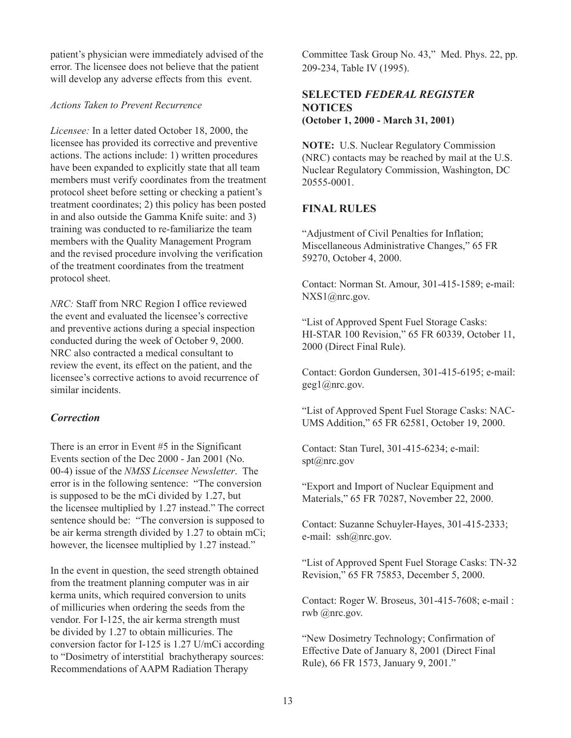patient's physician were immediately advised of the error. The licensee does not believe that the patient will develop any adverse effects from this event.

#### *Actions Taken to Prevent Recurrence*

*Licensee:* In a letter dated October 18, 2000, the licensee has provided its corrective and preventive actions. The actions include: 1) written procedures have been expanded to explicitly state that all team members must verify coordinates from the treatment protocol sheet before setting or checking a patient's treatment coordinates; 2) this policy has been posted in and also outside the Gamma Knife suite: and 3) training was conducted to re-familiarize the team members with the Quality Management Program and the revised procedure involving the verification of the treatment coordinates from the treatment protocol sheet.

*NRC:* Staff from NRC Region I office reviewed the event and evaluated the licensee's corrective and preventive actions during a special inspection conducted during the week of October 9, 2000. NRC also contracted a medical consultant to review the event, its effect on the patient, and the licensee's corrective actions to avoid recurrence of similar incidents.

# *Correction*

There is an error in Event #5 in the Significant Events section of the Dec 2000 - Jan 2001 (No. 00-4) issue of the *NMSS Licensee Newsletter*. The error is in the following sentence: "The conversion is supposed to be the mCi divided by 1.27, but the licensee multiplied by 1.27 instead." The correct sentence should be: "The conversion is supposed to be air kerma strength divided by 1.27 to obtain mCi; however, the licensee multiplied by 1.27 instead."

In the event in question, the seed strength obtained from the treatment planning computer was in air kerma units, which required conversion to units of millicuries when ordering the seeds from the vendor. For I-125, the air kerma strength must be divided by 1.27 to obtain millicuries. The conversion factor for I-125 is 1.27 U/mCi according to "Dosimetry of interstitial brachytherapy sources: Recommendations of AAPM Radiation Therapy

Committee Task Group No. 43," Med. Phys. 22, pp. 209-234, Table IV (1995).

# **SELECTED** *FEDERAL REGISTER* **NOTICES (October 1, 2000 - March 31, 2001)**

**NOTE:** U.S. Nuclear Regulatory Commission (NRC) contacts may be reached by mail at the U.S. Nuclear Regulatory Commission, Washington, DC 20555-0001.

# **FINAL RULES**

"Adjustment of Civil Penalties for Inflation; Miscellaneous Administrative Changes," 65 FR 59270, October 4, 2000.

Contact: Norman St. Amour, 301-415-1589; e-mail: NXS1@nrc.gov.

"List of Approved Spent Fuel Storage Casks: HI-STAR 100 Revision," 65 FR 60339, October 11, 2000 (Direct Final Rule).

Contact: Gordon Gundersen, 301-415-6195; e-mail: geg1@nrc.gov.

"List of Approved Spent Fuel Storage Casks: NAC-UMS Addition," 65 FR 62581, October 19, 2000.

Contact: Stan Turel, 301-415-6234; e-mail: spt@nrc.gov

"Export and Import of Nuclear Equipment and Materials," 65 FR 70287, November 22, 2000.

Contact: Suzanne Schuyler-Hayes, 301-415-2333; e-mail: ssh@nrc.gov.

"List of Approved Spent Fuel Storage Casks: TN-32 Revision," 65 FR 75853, December 5, 2000.

Contact: Roger W. Broseus, 301-415-7608; e-mail : rwb @nrc.gov.

"New Dosimetry Technology; Confirmation of Effective Date of January 8, 2001 (Direct Final Rule), 66 FR 1573, January 9, 2001."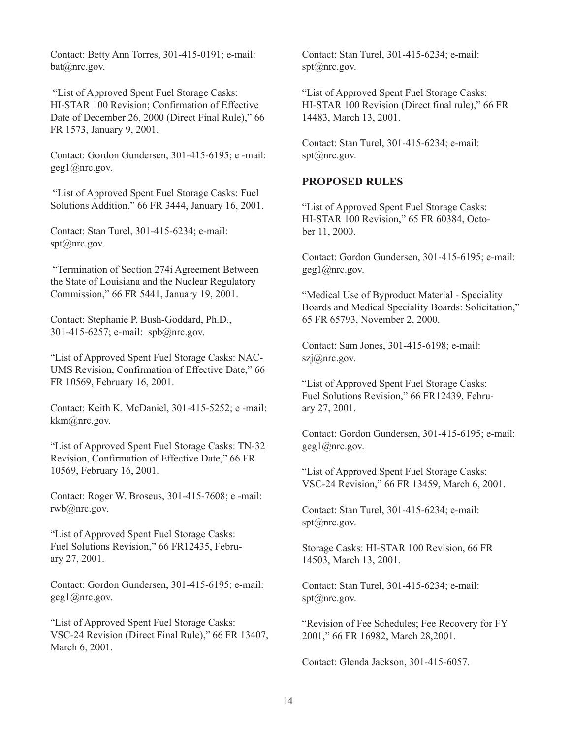Contact: Betty Ann Torres, 301-415-0191; e-mail: bat@nrc.gov.

 "List of Approved Spent Fuel Storage Casks: HI-STAR 100 Revision; Confirmation of Effective Date of December 26, 2000 (Direct Final Rule)," 66 FR 1573, January 9, 2001.

Contact: Gordon Gundersen, 301-415-6195; e -mail: geg1@nrc.gov.

 "List of Approved Spent Fuel Storage Casks: Fuel Solutions Addition," 66 FR 3444, January 16, 2001.

Contact: Stan Turel, 301-415-6234; e-mail: spt@nrc.gov.

 "Termination of Section 274i Agreement Between the State of Louisiana and the Nuclear Regulatory Commission," 66 FR 5441, January 19, 2001.

Contact: Stephanie P. Bush-Goddard, Ph.D., 301-415-6257; e-mail: spb@nrc.gov.

"List of Approved Spent Fuel Storage Casks: NAC-UMS Revision, Confirmation of Effective Date," 66 FR 10569, February 16, 2001.

Contact: Keith K. McDaniel, 301-415-5252; e -mail: kkm@nrc.gov.

"List of Approved Spent Fuel Storage Casks: TN-32 Revision, Confirmation of Effective Date," 66 FR 10569, February 16, 2001.

Contact: Roger W. Broseus, 301-415-7608; e -mail: rwb@nrc.gov.

"List of Approved Spent Fuel Storage Casks: Fuel Solutions Revision," 66 FR12435, February 27, 2001.

Contact: Gordon Gundersen, 301-415-6195; e-mail: geg1@nrc.gov.

"List of Approved Spent Fuel Storage Casks: VSC-24 Revision (Direct Final Rule)," 66 FR 13407, March 6, 2001.

Contact: Stan Turel, 301-415-6234; e-mail: spt@nrc.gov.

"List of Approved Spent Fuel Storage Casks: HI-STAR 100 Revision (Direct final rule)," 66 FR 14483, March 13, 2001.

Contact: Stan Turel, 301-415-6234; e-mail: spt@nrc.gov.

#### **PROPOSED RULES**

"List of Approved Spent Fuel Storage Casks: HI-STAR 100 Revision," 65 FR 60384, October 11, 2000.

Contact: Gordon Gundersen, 301-415-6195; e-mail: geg1@nrc.gov.

"Medical Use of Byproduct Material - Speciality Boards and Medical Speciality Boards: Solicitation," 65 FR 65793, November 2, 2000.

Contact: Sam Jones, 301-415-6198; e-mail:  $szi@nrc.gov.$ 

"List of Approved Spent Fuel Storage Casks: Fuel Solutions Revision," 66 FR12439, February 27, 2001.

Contact: Gordon Gundersen, 301-415-6195; e-mail: geg1@nrc.gov.

"List of Approved Spent Fuel Storage Casks: VSC-24 Revision," 66 FR 13459, March 6, 2001.

Contact: Stan Turel, 301-415-6234; e-mail: spt@nrc.gov.

Storage Casks: HI-STAR 100 Revision, 66 FR 14503, March 13, 2001.

Contact: Stan Turel, 301-415-6234; e-mail: spt@nrc.gov.

"Revision of Fee Schedules; Fee Recovery for FY 2001," 66 FR 16982, March 28,2001.

Contact: Glenda Jackson, 301-415-6057.